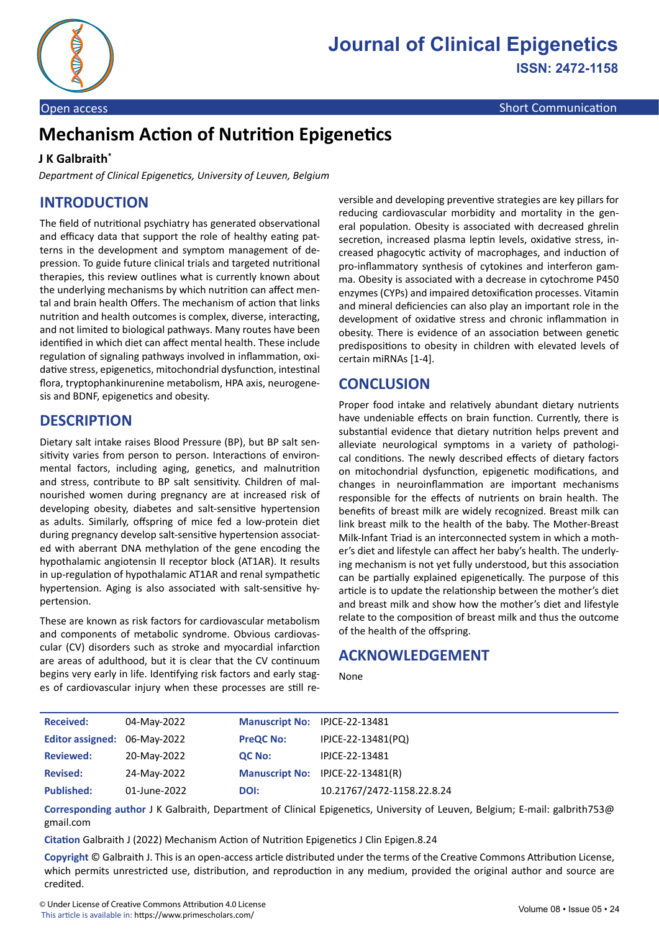

# **Mechanism Action of Nutrition Epigenetics**

#### **J K Galbraith\***

*Department of Clinical Epigenetics, University of Leuven, Belgium*

# **INTRODUCTION**

The field of nutritional psychiatry has generated observational and efficacy data that support the role of healthy eating patterns in the development and symptom management of depression. To guide future clinical trials and targeted nutritional therapies, this review outlines what is currently known about the underlying mechanisms by which nutrition can affect mental and brain health Offers. The mechanism of action that links nutrition and health outcomes is complex, diverse, interacting, and not limited to biological pathways. Many routes have been identified in which diet can affect mental health. These include regulation of signaling pathways involved in inflammation, oxidative stress, epigenetics, mitochondrial dysfunction, intestinal flora, tryptophankinurenine metabolism, HPA axis, neurogenesis and BDNF, epigenetics and obesity.

## **DESCRIPTION**

Dietary salt intake raises Blood Pressure (BP), but BP salt sensitivity varies from person to person. Interactions of environmental factors, including aging, genetics, and malnutrition and stress, contribute to BP salt sensitivity. Children of malnourished women during pregnancy are at increased risk of developing obesity, diabetes and salt-sensitive hypertension as adults. Similarly, offspring of mice fed a low-protein diet during pregnancy develop salt-sensitive hypertension associated with aberrant DNA methylation of the gene encoding the hypothalamic angiotensin II receptor block (AT1AR). It results in up-regulation of hypothalamic AT1AR and renal sympathetic hypertension. Aging is also associated with salt-sensitive hypertension.

These are known as risk factors for cardiovascular metabolism and components of metabolic syndrome. Obvious cardiovascular (CV) disorders such as stroke and myocardial infarction are areas of adulthood, but it is clear that the CV continuum begins very early in life. Identifying risk factors and early stages of cardiovascular injury when these processes are still reversible and developing preventive strategies are key pillars for reducing cardiovascular morbidity and mortality in the general population. Obesity is associated with decreased ghrelin secretion, increased plasma leptin levels, oxidative stress, increased phagocytic activity of macrophages, and induction of pro-inflammatory synthesis of cytokines and interferon gamma. Obesity is associated with a decrease in cytochrome P450 enzymes (CYPs) and impaired detoxification processes. Vitamin and mineral deficiencies can also play an important role in the development of oxidative stress and chronic inflammation in obesity. There is evidence of an association between genetic predispositions to obesity in children with elevated levels of certain miRNAs [1-4].

## **CONCLUSION**

Proper food intake and relatively abundant dietary nutrients have undeniable effects on brain function. Currently, there is substantial evidence that dietary nutrition helps prevent and alleviate neurological symptoms in a variety of pathological conditions. The newly described effects of dietary factors on mitochondrial dysfunction, epigenetic modifications, and changes in neuroinflammation are important mechanisms responsible for the effects of nutrients on brain health. The benefits of breast milk are widely recognized. Breast milk can link breast milk to the health of the baby. The Mother-Breast Milk-Infant Triad is an interconnected system in which a mother's diet and lifestyle can affect her baby's health. The underlying mechanism is not yet fully understood, but this association can be partially explained epigenetically. The purpose of this article is to update the relationship between the mother's diet and breast milk and show how the mother's diet and lifestyle relate to the composition of breast milk and thus the outcome of the health of the offspring.

#### **ACKNOWLEDGEMENT**

None

| <b>Received:</b>             | 04-May-2022  | <b>Manuscript No:</b> | IPJCE-22-13481             |
|------------------------------|--------------|-----------------------|----------------------------|
| Editor assigned: 06-May-2022 |              | <b>PreQC No:</b>      | IPJCE-22-13481(PQ)         |
| <b>Reviewed:</b>             | 20-May-2022  | QC No:                | IPJCE-22-13481             |
| <b>Revised:</b>              | 24-May-2022  | <b>Manuscript No:</b> | IPJCE-22-13481(R)          |
| <b>Published:</b>            | 01-June-2022 | DOI:                  | 10.21767/2472-1158.22.8.24 |

**Corresponding author** J K Galbraith, Department of Clinical Epigenetics, University of Leuven, Belgium; E-mail: galbrith753@ gmail.com

**Citation** Galbraith J (2022) Mechanism Action of Nutrition Epigenetics J Clin Epigen.8.24

**Copyright** © Galbraith J. This is an open-access article distributed under the terms of the Creative Commons Attribution License, which permits unrestricted use, distribution, and reproduction in any medium, provided the original author and source are credited.